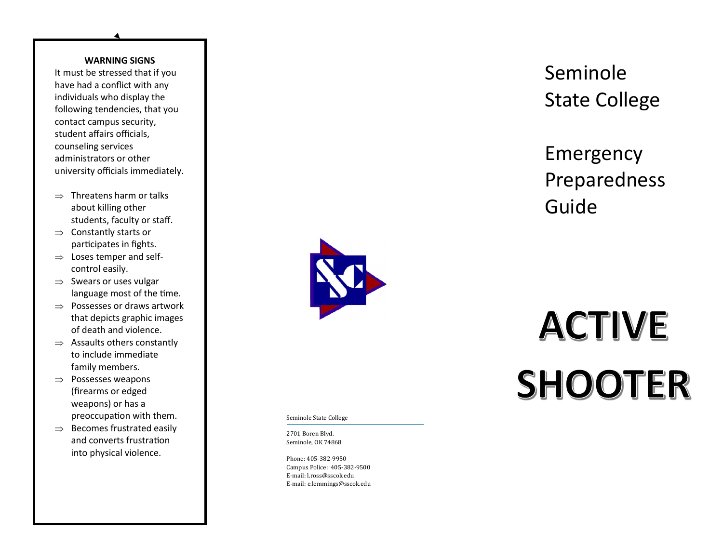#### **WARNING SIGNS**

It must be stressed that if you have had a conflict with any individuals who display the following tendencies, that you contact campus security, student affairs officials, counseling services administrators or other university officials immediately.

- $\Rightarrow$  Threatens harm or talks about killing other students, faculty or staff.
- $\Rightarrow$  Constantly starts or participates in fights.
- $\Rightarrow$  Loses temper and selfcontrol easily.
- $\Rightarrow$  Swears or uses vulgar language most of the time.
- $\Rightarrow$  Possesses or draws artwork that depicts graphic images of death and violence.
- $\Rightarrow$  Assaults others constantly to include immediate family members.
- $\Rightarrow$  Possesses weapons (firearms or edged weapons) or has a preoccupation with them.
- $\Rightarrow$  Becomes frustrated easily and converts frustration into physical violence.



Seminole State College

2701 Boren Blvd. Seminole, OK 74868

Phone: 405 -382 -9950 Campus Police: 405 -382 -9500 E -mail: l.ross@sscok.edu E -mail: e.lemmings@sscok.edu

## Seminole State College

## Emergency Preparedness Guide

# **ACTIVE SHOOTER**